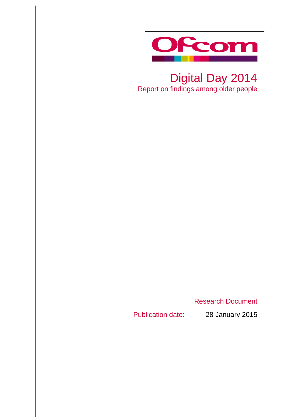

## Digital Day 2014 Report on findings among older people

Research Document

Publication date: 28 January 2015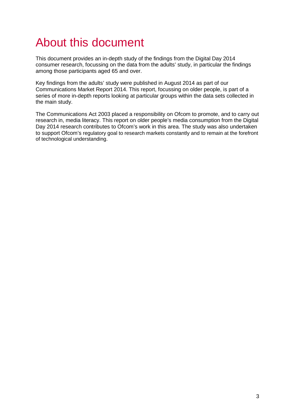## About this document

This document provides an in-depth study of the findings from the Digital Day 2014 consumer research, focussing on the data from the adults' study, in particular the findings among those participants aged 65 and over.

Key findings from the adults' study were published in August 2014 as part of our Communications Market Report 2014. This report, focussing on older people, is part of a series of more in-depth reports looking at particular groups within the data sets collected in the main study.

The Communications Act 2003 placed a responsibility on Ofcom to promote, and to carry out research in, media literacy. This report on older people's media consumption from the Digital Day 2014 research contributes to Ofcom's work in this area. The study was also undertaken to support Ofcom's regulatory goal to research markets constantly and to remain at the forefront of technological understanding.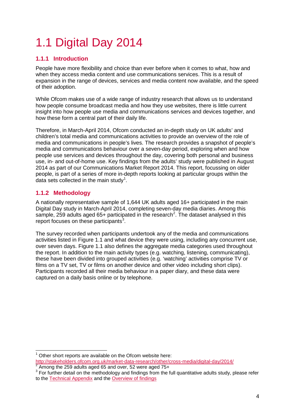# 1.1 Digital Day 2014

## **1.1.1 Introduction**

People have more flexibility and choice than ever before when it comes to what, how and when they access media content and use communications services. This is a result of expansion in the range of devices, services and media content now available, and the speed of their adoption.

While Ofcom makes use of a wide range of industry research that allows us to understand how people consume broadcast media and how they use websites, there is little current insight into how people use media and communications services and devices together, and how these form a central part of their daily life.

Therefore, in March-April 2014, Ofcom conducted an in-depth study on UK adults' and children's total media and communications activities to provide an overview of the role of media and communications in people's lives. The research provides a snapshot of people's media and communications behaviour over a seven-day period, exploring when and how people use services and devices throughout the day, covering both personal and business use, in- and out-of-home use. Key findings from the adults' study were published in August 2014 as part of our Communications Market Report 2014. This report, focussing on older people, is part of a series of more in-depth reports looking at particular groups within the data sets collected in the main study<sup>[1](#page-3-0)</sup>.

## **1.1.2 Methodology**

A nationally representative sample of 1,644 UK adults aged 16+ participated in the main Digital Day study in March-April 2014, completing seven-day media diaries. Among this sample, [2](#page-3-1)59 adults aged 65+ participated in the research<sup>2</sup>. The dataset analysed in this report focuses on these participants $3$ .

The survey recorded when participants undertook any of the media and communications activities listed in [Figure 1.1](#page-4-0) and what device they were using, including any concurrent use, over seven days. [Figure 1.1](#page-4-0) also defines the aggregate media categories used throughout the report. In addition to the main activity types (e.g. watching, listening, communicating), these have been divided into grouped activities (e.g. 'watching' activities comprise TV or films on a TV set, TV or films on another device and other video including short clips). Participants recorded all their media behaviour in a paper diary, and these data were captured on a daily basis online or by telephone.

<span id="page-3-0"></span>Other short reports are available on the Ofcom website here: <http://stakeholders.ofcom.org.uk/market-data-research/other/cross-media/digital-day/2014/> <sup>2</sup> Among the 259 adults aged 65 and over, 52 were aged 75+  $\overline{a}$ 

<span id="page-3-1"></span>

<span id="page-3-2"></span><sup>&</sup>lt;sup>3</sup> For further detail on the methodology and findings from the full quantitative adults study, please refer to the [Technical Appendix](http://stakeholders.ofcom.org.uk/binaries/research/cross-media/2014/technical_appendix.pdf) and the [Overview of findings](http://stakeholders.ofcom.org.uk/binaries/research/cross-media/2014/Digital_Day_2014_Overview_of_Findings.pdf)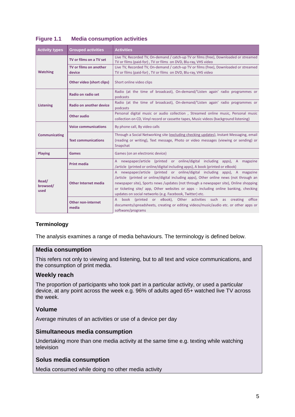| <b>Activity types</b>     | <b>Grouped activities</b>      | <b>Activities</b>                                                                                                                                                                                                                                                                                                                                                                                                              |
|---------------------------|--------------------------------|--------------------------------------------------------------------------------------------------------------------------------------------------------------------------------------------------------------------------------------------------------------------------------------------------------------------------------------------------------------------------------------------------------------------------------|
| <b>Watching</b>           | TV or films on a TV set        | Live TV, Recorded TV, On-demand / catch-up TV or films (free), Downloaded or streamed<br>TV or films (paid-for), TV or films on DVD, Blu-ray, VHS video                                                                                                                                                                                                                                                                        |
|                           | TV or films on another         | Live TV, Recorded TV, On-demand / catch-up TV or films (free), Downloaded or streamed                                                                                                                                                                                                                                                                                                                                          |
|                           | device                         | TV or films (paid-for), TV or films on DVD, Blu-ray, VHS video                                                                                                                                                                                                                                                                                                                                                                 |
|                           | Other video (short clips)      | Short online video clips                                                                                                                                                                                                                                                                                                                                                                                                       |
| Listening                 | Radio on radio set             | Radio (at the time of broadcast), On-demand/'Listen again' radio programmes or<br>podcasts                                                                                                                                                                                                                                                                                                                                     |
|                           | <b>Radio on another device</b> | Radio (at the time of broadcast), On-demand/'Listen again' radio programmes or<br>podcasts                                                                                                                                                                                                                                                                                                                                     |
|                           | <b>Other audio</b>             | Personal digital music or audio collection, Streamed online music, Personal music<br>collection on CD, Vinyl record or cassette tapes, Music videos (background listening)                                                                                                                                                                                                                                                     |
| Communicating             | <b>Voice communications</b>    | By phone call, By video calls                                                                                                                                                                                                                                                                                                                                                                                                  |
|                           | <b>Text communications</b>     | Through a Social Networking site (excluding checking updates), Instant Messaging, email<br>(reading or writing), Text message, Photo or video messages (viewing or sending) or<br>Snapchat                                                                                                                                                                                                                                     |
| <b>Playing</b>            | Games                          | Games (on an electronic device)                                                                                                                                                                                                                                                                                                                                                                                                |
| Read/<br>browsed/<br>used | <b>Print media</b>             | A newspaper/article (printed or online/digital including apps), A magazine<br>/article (printed or online/digital including apps), A book (printed or eBook)                                                                                                                                                                                                                                                                   |
|                           | <b>Other Internet media</b>    | newspaper/article (printed or online/digital including apps), A magazine<br>$\mathsf{A}$<br>/article (printed or online/digital including apps), Other online news (not through an<br>newspaper site), Sports news /updates (not through a newspaper site), Online shopping<br>or ticketing site/ app, Other websites or apps - including online banking, checking<br>updates on social networks (e.g. Facebook, Twitter) etc. |
|                           | Other non-internet<br>media    | (printed or eBook), Other activities such as creating<br>book<br>office<br>$\mathsf{A}$<br>documents/spreadsheets, creating or editing videos/music/audio etc. or other apps or<br>software/programs                                                                                                                                                                                                                           |

## <span id="page-4-0"></span>**Figure 1.1 Media consumption activities**

#### **Terminology**

The analysis examines a range of media behaviours. The terminology is defined below.

#### **Media consumption**

This refers not only to viewing and listening, but to all text and voice communications, and the consumption of print media.

#### **Weekly reach**

The proportion of participants who took part in a particular activity, or used a particular device, at any point across the week e.g. 96% of adults aged 65+ watched live TV across the week.

#### **Volume**

Average minutes of an activities or use of a device per day

#### **Simultaneous media consumption**

Undertaking more than one media activity at the same time e.g. texting while watching television

## **Solus media consumption**

Media consumed while doing no other media activity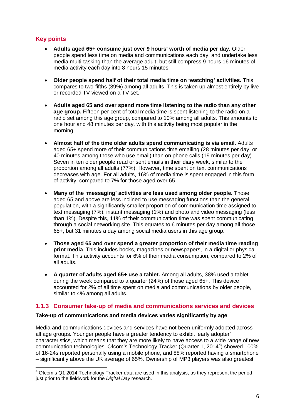## **Key points**

- **Adults aged 65+ consume just over 9 hours' worth of media per day.** Older people spend less time on media and communications each day, and undertake less media multi-tasking than the average adult, but still compress 9 hours 16 minutes of media activity each day into 8 hours 15 minutes.
- **Older people spend half of their total media time on 'watching' activities.** This compares to two-fifths (39%) among all adults. This is taken up almost entirely by live or recorded TV viewed on a TV set.
- **Adults aged 65 and over spend more time listening to the radio than any other age group.** Fifteen per cent of total media time is spent listening to the radio on a radio set among this age group, compared to 10% among all adults. This amounts to one hour and 48 minutes per day, with this activity being most popular in the morning.
- **Almost half of the time older adults spend communicating is via email.** Adults aged 65+ spend more of their communications time emailing (28 minutes per day, or 40 minutes among those who use email) than on phone calls (19 minutes per day). Seven in ten older people read or sent emails in their diary week, similar to the proportion among all adults (77%). However, time spent on text communications decreases with age. For all adults, 16% of media time is spent engaged in this form of activity, compared to 7% for those aged over 65.
- **Many of the 'messaging' activities are less used among older people.** Those aged 65 and above are less inclined to use messaging functions than the general population, with a significantly smaller proportion of communication time assigned to text messaging (7%), instant messaging (1%) and photo and video messaging (less than 1%). Despite this, 11% of their communication time was spent communicating through a social networking site. This equates to 6 minutes per day among all those 65+, but 31 minutes a day among social media users in this age group.
- **Those aged 65 and over spend a greater proportion of their media time reading print media**. This includes books, magazines or newspapers, in a digital or physical format. This activity accounts for 6% of their media consumption, compared to 2% of all adults.
- **A quarter of adults aged 65+ use a tablet.** Among all adults, 38% used a tablet during the week compared to a quarter (24%) of those aged 65+. This device accounted for 2% of all time spent on media and communications by older people, similar to 4% among all adults.

## **1.1.3 Consumer take-up of media and communications services and devices**

## **Take-up of communications and media devices varies significantly by age**

Media and communications devices and services have not been uniformly adopted across all age groups. Younger people have a greater tendency to exhibit 'early adopter' characteristics, which means that they are more likely to have access to a wide range of new communication technologies. Ofcom's Technology Tracker (Quarter 1, 201[4](#page-5-0)<sup>4</sup>) showed 100% of 16-24s reported personally using a mobile phone, and 88% reported having a smartphone – significantly above the UK average of 65%. Ownership of MP3 players was also greatest

<span id="page-5-0"></span> $4$  Ofcom's Q1 2014 Technology Tracker data are used in this analysis, as they represent the period just prior to the fieldwork for the *Digital Day* research.  $\overline{a}$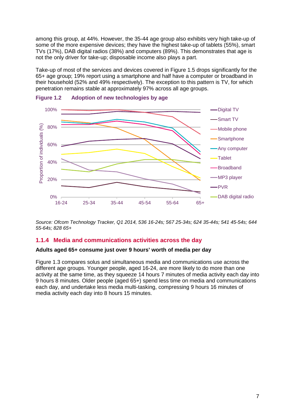among this group, at 44%. However, the 35-44 age group also exhibits very high take-up of some of the more expensive devices; they have the highest take-up of tablets (55%), smart TVs (17%), DAB digital radios (38%) and computers (89%). This demonstrates that age is not the only driver for take-up; disposable income also plays a part.

Take-up of most of the services and devices covered in Figure 1.5 drops significantly for the 65+ age group; 19% report using a smartphone and half have a computer or broadband in their household (52% and 49% respectively). The exception to this pattern is TV, for which penetration remains stable at approximately 97% across all age groups.





*Source: Ofcom Technology Tracker, Q1 2014, 536 16-24s; 567 25-34s; 624 35-44s; 541 45-54s; 644 55-64s; 828 65+*

#### **1.1.4 Media and communications activities across the day**

#### **Adults aged 65+ consume just over 9 hours' worth of media per day**

[Figure 1.3](#page-7-0) compares solus and simultaneous media and communications use across the different age groups. Younger people, aged 16-24, are more likely to do more than one activity at the same time, as they squeeze 14 hours 7 minutes of media activity each day into 9 hours 8 minutes. Older people (aged 65+) spend less time on media and communications each day, and undertake less media multi-tasking, compressing 9 hours 16 minutes of media activity each day into 8 hours 15 minutes.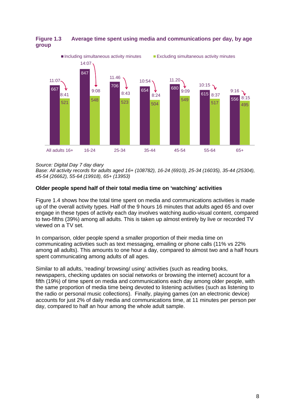

## <span id="page-7-0"></span>**Figure 1.3 Average time spent using media and communications per day, by age group**

*Source: Digital Day 7 day diary*

*Base: All activity records for adults aged 16+ (108782), 16-24 (6910), 25-34 (16035), 35-44 (25304), 45-54 (26662), 55-64 (19918), 65+ (13953)*

## **Older people spend half of their total media time on 'watching' activities**

[Figure 1.4](#page-8-0) shows how the total time spent on media and communications activities is made up of the overall activity types. Half of the 9 hours 16 minutes that adults aged 65 and over engage in these types of activity each day involves watching audio-visual content, compared to two-fifths (39%) among all adults. This is taken up almost entirely by live or recorded TV viewed on a TV set.

In comparison, older people spend a smaller proportion of their media time on communicating activities such as text messaging, emailing or phone calls (11% vs 22% among all adults). This amounts to one hour a day, compared to almost two and a half hours spent communicating among adults of all ages.

Similar to all adults, 'reading/ browsing/ using' activities (such as reading books, newspapers, checking updates on social networks or browsing the internet) account for a fifth (19%) of time spent on media and communications each day among older people, with the same proportion of media time being devoted to listening activities (such as listening to the radio or personal music collections). Finally, playing games (on an electronic device) accounts for just 2% of daily media and communications time, at 11 minutes per person per day, compared to half an hour among the whole adult sample.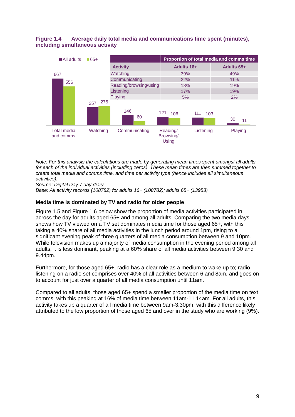#### <span id="page-8-0"></span>**Figure 1.4 Average daily total media and communications time spent (minutes), including simultaneous activity**



*Note: For this analysis the calculations are made by generating mean times spent amongst all adults for each of the individual activities (including zeros). These mean times are then summed together to create total media and comms time, and time per activity type (hence includes all simultaneous activities).*

*Source: Digital Day 7 day diary*

*Base: All activity records (108782) for adults 16+ (108782); adults 65+ (13953)*

#### **Media time is dominated by TV and radio for older people**

[Figure 1.5](#page-9-0) and [Figure 1.6](#page-9-1) below show the proportion of media activities participated in across the day for adults aged 65+ and among all adults. Comparing the two media days shows how TV viewed on a TV set dominates media time for those aged 65+, with this taking a 40% share of all media activities in the lunch period around 1pm, rising to a significant evening peak of three quarters of all media consumption between 9 and 10pm. While television makes up a majority of media consumption in the evening period among all adults, it is less dominant, peaking at a 60% share of all media activities between 9.30 and 9.44pm.

Furthermore, for those aged 65+, radio has a clear role as a medium to wake up to; radio listening on a radio set comprises over 40% of all activities between 6 and 8am, and goes on to account for just over a quarter of all media consumption until 11am.

Compared to all adults, those aged 65+ spend a smaller proportion of the media time on text comms, with this peaking at 16% of media time between 11am-11.14am. For all adults, this activity takes up a quarter of all media time between 9am-3.30pm, with this difference likely attributed to the low proportion of those aged 65 and over in the study who are working (9%).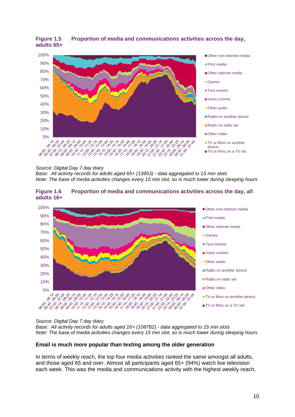

#### <span id="page-9-0"></span>**Figure 1.5 Proportion of media and communications activities across the day, adults 65+**

#### *Source: Digital Day 7 day diary*

*Base: All activity records for adults aged 65+ (13953) - data aggregated to 15 min slots Note: The base of media activities changes every 15 min slot, so is much lower during sleeping hours* 

#### <span id="page-9-1"></span>**Figure 1.6 Proportion of media and communications activities across the day, all adults 16+**



#### *Source: Digital Day 7 day diary*

*Base: All activity records for adults aged 16+ (108782) - data aggregated to 15 min slots Note: The base of media activities changes every 15 min slot, so is much lower during sleeping hours* 

#### **Email is much more popular than texting among the older generation**

In terms of weekly reach, the top four media activities ranked the same amongst all adults, and those aged 65 and over. Almost all participants aged 65+ (94%) watch live television each week. This was the media and communications activity with the highest weekly reach,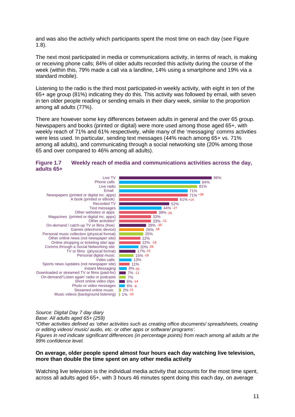and was also the activity which participants spent the most time on each day (see [Figure](#page-11-0)  [1.8\)](#page-11-0).

The next most participated in media or communications activity, in terms of reach, is making or receiving phone calls; 84% of older adults recorded this activity during the course of the week (within this, 79% made a call via a landline, 14% using a smartphone and 19% via a standard mobile).

Listening to the radio is the third most participated-in weekly activity, with eight in ten of the 65+ age group (81%) indicating they do this. This activity was followed by email, with seven in ten older people reading or sending emails in their diary week, similar to the proportion among all adults (77%).

There are however some key differences between adults in general and the over 65 group. Newspapers and books (printed or digital) were more used among those aged 65+, with weekly reach of 71% and 61% respectively, while many of the 'messaging' comms activities were less used. In particular, sending text messages (44% reach among 65+ vs. 71% among all adults), and communicating through a social networking site (20% among those 65 and over compared to 46% among all adults).

#### <span id="page-10-0"></span>**Figure 1.7 Weekly reach of media and communications activities across the day, adults 65+**



## *Source: Digital Day 7 day diary*

*Base: All adults aged 65+ (259)*

*\*Other activities defined as 'other activities such as creating office documents/ spreadsheets, creating or editing videos/ music/ audio, etc. or other apps or software/ programs'. Figures in red indicate significant differences (in percentage points) from reach among all adults at the 99% confidence level.*

#### **On average, older people spend almost four hours each day watching live television, more than double the time spent on any other media activity**

Watching live television is the individual media activity that accounts for the most time spent, across all adults aged 65+, with 3 hours 46 minutes spent doing this each day, on average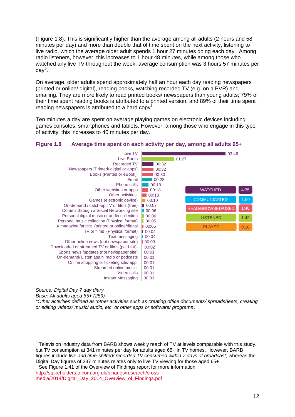[\(Figure 1.8\)](#page-11-0). This is significantly higher than the average among all adults (2 hours and 58 minutes per day) and more than double that of time spent on the next activity, listening to live radio, which the average older adult spends 1 hour 27 minutes doing each day. Among radio listeners, however, this increases to 1 hour 48 minutes, while among those who watched any live TV throughout the week, average consumption was 3 hours 57 minutes per day<sup>[5](#page-11-1)</sup>.

On average, older adults spend approximately half an hour each day reading newspapers (printed or online/ digital), reading books, watching recorded TV (e.g. on a PVR) and emailing. They are more likely to read printed books/ newspapers than young adults; 79% of their time spent reading books is attributed to a printed version, and 89% of their time spent reading newspapers is attributed to a hard copy $6$ .

Ten minutes a day are spent on average playing games on electronic devices including games consoles, smartphones and tablets. However, among those who engage in this type of activity, this increases to 40 minutes per day.

#### <span id="page-11-0"></span>**Figure 1.8 Average time spent on each activity per day, among all adults 65+**



*Source: Digital Day 7 day diary*

*Base: All adults aged 65+ (259)*

 $\overline{a}$ 

*\*Other activities defined as 'other activities such as creating office documents/ spreadsheets, creating or editing videos/ music/ audio, etc. or other apps or software/ programs'.*

<span id="page-11-2"></span>

[http://stakeholders.ofcom.org.uk/binaries/research/cross](http://stakeholders.ofcom.org.uk/binaries/research/cross-media/2014/Digital_Day_2014_Overview_of_Findings.pdf)[media/2014/Digital\\_Day\\_2014\\_Overview\\_of\\_Findings.pdf](http://stakeholders.ofcom.org.uk/binaries/research/cross-media/2014/Digital_Day_2014_Overview_of_Findings.pdf)

<span id="page-11-1"></span> $5$  Television industry data from BARB shows weekly reach of TV at levels comparable with this study, but TV consumption at 341 minutes per day for adults aged 65+ in TV homes. However, BARB figures include live *and time-shifted/ recorded TV consumed within 7 days of broadcast*, whereas the Digital Day figures of 237 minutes relates only to live TV viewing for those aged 65+ 6 See Figure 1.41 of the Overview of Findings report for more information: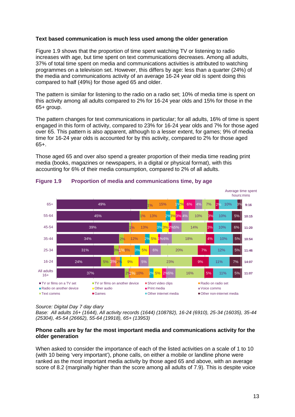#### **Text based communication is much less used among the older generation**

[Figure 1.9](#page-12-0) shows that the proportion of time spent watching TV or listening to radio increases with age, but time spent on text communications decreases. Among all adults, 37% of total time spent on media and communications activities is attributed to watching programmes on a television set. However, this differs by age: less than a quarter (24%) of the media and communications activity of an average 16-24 year old is spent doing this compared to half (49%) for those aged 65 and older.

The pattern is similar for listening to the radio on a radio set; 10% of media time is spent on this activity among all adults compared to 2% for 16-24 year olds and 15% for those in the 65+ group.

The pattern changes for text communications in particular; for all adults, 16% of time is spent engaged in this form of activity, compared to 23% for 16-24 year olds and 7% for those aged over 65. This pattern is also apparent, although to a lesser extent, for games; 9% of media time for 16-24 year olds is accounted for by this activity, compared to 2% for those aged 65+.

Those aged 65 and over also spend a greater proportion of their media time reading print media (books, magazines or newspapers, in a digital or physical format), with this accounting for 6% of their media consumption, compared to 2% of all adults.



#### <span id="page-12-0"></span>**Figure 1.9 Proportion of media and communications time, by age**

#### *Source: Digital Day 7 day diary*

*Base: All adults 16+ (1644), All activity records (1644) (108782), 16-24 (6910), 25-34 (16035), 35-44 (25304), 45-54 (26662), 55-64 (19918), 65+ (13953)*

#### **Phone calls are by far the most important media and communications activity for the older generation**

When asked to consider the importance of each of the listed activities on a scale of 1 to 10 (with 10 being 'very important'), phone calls, on either a mobile or landline phone were ranked as the most important media activity by those aged 65 and above, with an average score of 8.2 (marginally higher than the score among all adults of 7.9). This is despite voice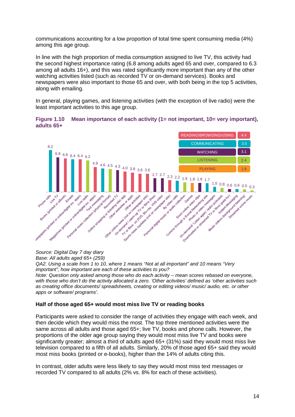communications accounting for a low proportion of total time spent consuming media (4%) among this age group.

In line with the high proportion of media consumption assigned to live TV, this activity had the second highest importance rating (6.8 among adults aged 65 and over, compared to 6.3 among all adults 16+), and this was rated significantly more important than any of the other watching activities listed (such as recorded TV or on-demand services). Books and newspapers were also important to those 65 and over, with both being in the top 5 activities, along with emailing.

In general, playing games, and listening activities (with the exception of live radio) were the least important activities to this age group.





*Source: Digital Day 7 day diary*

*Base: All adults aged 65+ (259)*

*QA2. Using a scale from 1 to 10, where 1 means "Not at all important" and 10 means "Very important", how important are each of these activities to you?* 

*Note: Question only asked among those who do each activity – mean scores rebased on everyone, with those who don't do the activity allocated a zero. 'Other activities' defined as 'other activities such as creating office documents/ spreadsheets, creating or editing videos/ music/ audio, etc. or other apps or software/ programs'.*

#### **Half of those aged 65+ would most miss live TV or reading books**

Participants were asked to consider the range of activities they engage with each week, and then decide which they would miss the most. The top three mentioned activities were the same across all adults and those aged 65+; live TV, books and phone calls. However, the proportions of the older age group saying they would most miss live TV and books were significantly greater; almost a third of adults aged 65+ (31%) said they would most miss live television compared to a fifth of all adults. Similarly, 20% of those aged 65+ said they would most miss books (printed or e-books), higher than the 14% of adults citing this.

In contrast, older adults were less likely to say they would most miss text messages or recorded TV compared to all adults (2% vs. 8% for each of these activities).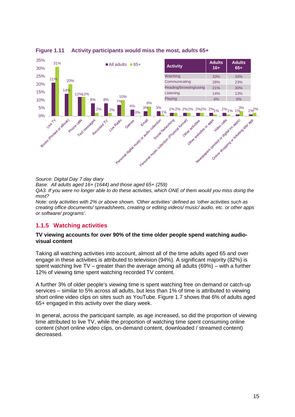

**Figure 1.11 Activity participants would miss the most, adults 65+**

*Source: Digital Day 7 day diary*

*Base: All adults aged 16+ (1644) and those aged 65+ (259)*

*QA3. If you were no longer able to do these activities, which ONE of them would you miss doing the most?* 

*Note: only activities with 2% or above shown. 'Other activities' defined as 'other activities such as creating office documents/ spreadsheets, creating or editing videos/ music/ audio, etc. or other apps or software/ programs'.*

## **1.1.5 Watching activities**

#### **TV viewing accounts for over 90% of the time older people spend watching audiovisual content**

Taking all watching activities into account, almost all of the time adults aged 65 and over engage in these activities is attributed to television (94%). A significant majority (82%) is spent watching live TV – greater than the average among all adults (69%) – with a further 12% of viewing time spent watching recorded TV content.

A further 3% of older people's viewing time is spent watching free on demand or catch-up services – similar to 5% across all adults, but less than 1% of time is attributed to viewing short online video clips on sites such as YouTube. [Figure 1.7](#page-10-0) shows that 6% of adults aged 65+ engaged in this activity over the diary week.

In general, across the participant sample, as age increased, so did the proportion of viewing time attributed to live TV, while the proportion of watching time spent consuming online content (short online video clips, on-demand content, downloaded / streamed content) decreased.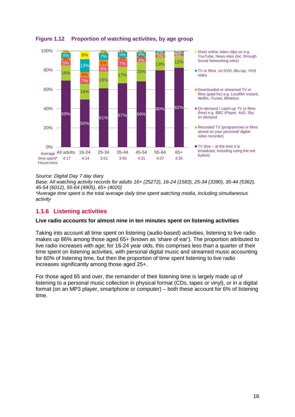

## **Figure 1.12 Proportion of watching activities, by age group**

*Source: Digital Day 7 day diary*

*Base: All watching activity records for adults 16+ (25272), 16-24 (1583), 25-34 (3390), 35-44 (5362), 45-54 (6012), 55-64 (4905), 65+ (4020)*

*\*Average time spent is the total average daily time spent watching media, including simultaneous activity*

## **1.1.6 Listening activities**

#### **Live radio accounts for almost nine in ten minutes spent on listening activities**

Taking into account all time spent on listening (audio-based) activities, listening to live radio makes up 86% among those aged 65+ (known as 'share of ear'). The proportion attributed to live radio increases with age; for 16-24 year olds, this comprises less than a quarter of their time spent on listening activities, with personal digital music and streamed music accounting for 60% of listening time, but then the proportion of time spent listening to live radio increases significantly among those aged 25+.

For those aged 65 and over, the remainder of their listening time is largely made up of listening to a personal music collection in physical format (CDs, tapes or vinyl), or in a digital format (on an MP3 player, smartphone or computer) – both these account for 6% of listening time.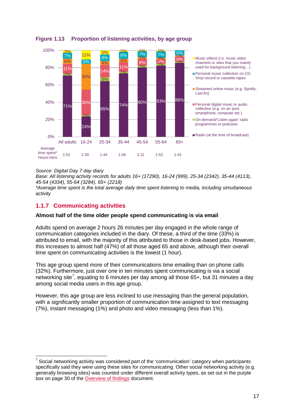

## **Figure 1.13 Proportion of listening activities, by age group**

#### *Source: Digital Day 7 day diary*

-

*Base: All listening activity records for adults 16+ (17290), 16-24 (999), 25-34 (2342), 35-44 (4113), 45-54 (4334), 55-64 (3284), 65+ (2218)*

*\*Average time spent is the total average daily time spent listening to media, including simultaneous activity*

## **1.1.7 Communicating activities**

#### **Almost half of the time older people spend communicating is via email**

Adults spend on average 2 hours 26 minutes per day engaged in the whole range of communication categories included in the diary. Of these, a third of the time (33%) is attributed to email, with the majority of this attributed to those in desk-based jobs. However, this increases to almost half (47%) of all those aged 65 and above, although their overall time spent on communicating activities is the lowest (1 hour).

This age group spend more of their communications time emailing than on phone calls (32%). Furthermore, just over one in ten minutes spent communicating is via a social networking site<sup>[7](#page-16-0)</sup>, equating to 6 minutes per day among all those 65+, but 31 minutes a day among social media users in this age group.

However, this age group are less inclined to use messaging than the general population, with a significantly smaller proportion of communication time assigned to text messaging (7%), instant messaging (1%) and photo and video messaging (less than 1%).

<span id="page-16-0"></span><sup>7</sup> Social networking activity was considered part of the 'communication' category when participants specifically said they were using these sites for communicating. Other social networking activity (e.g. generally browsing sites) was counted under different overall activity types, as set out in the purple box on page 30 of the [Overview of findings](http://stakeholders.ofcom.org.uk/binaries/research/cross-media/2014/Digital_Day_2014_Overview_of_Findings.pdf) document.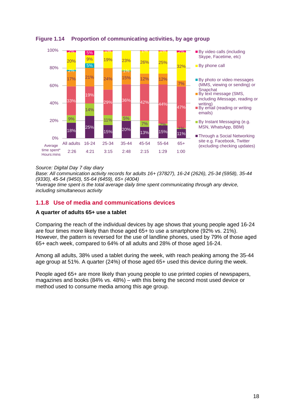

## **Figure 1.14 Proportion of communicating activities, by age group**

#### *Source: Digital Day 7 day diary*

*Base: All communication activity records for adults 16+ (37827), 16-24 (2626), 25-34 (5958), 35-44 (9330), 45-54 (9450), 55-64 (6459), 65+ (4004)*

*\*Average time spent is the total average daily time spent communicating through any device, including simultaneous activity*

## **1.1.8 Use of media and communications devices**

#### **A quarter of adults 65+ use a tablet**

Comparing the reach of the individual devices by age shows that young people aged 16-24 are four times more likely than those aged 65+ to use a smartphone (92% vs. 21%). However, the pattern is reversed for the use of landline phones, used by 79% of those aged 65+ each week, compared to 64% of all adults and 28% of those aged 16-24.

Among all adults, 38% used a tablet during the week, with reach peaking among the 35-44 age group at 51%. A quarter (24%) of those aged 65+ used this device during the week.

People aged 65+ are more likely than young people to use printed copies of newspapers, magazines and books (84% vs. 48%) – with this being the second most used device or method used to consume media among this age group.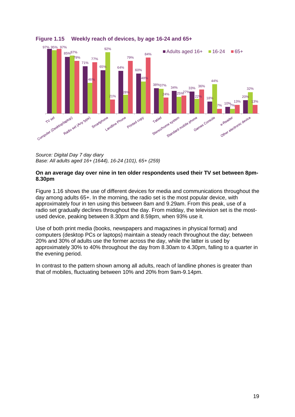

## **Figure 1.15 Weekly reach of devices, by age 16-24 and 65+**

*Source: Digital Day 7 day diary Base: All adults aged 16+ (1644), 16-24 (101), 65+ (259)*

#### **On an average day over nine in ten older respondents used their TV set between 8pm-8.30pm**

[Figure 1.16](#page-19-0) shows the use of different devices for media and communications throughout the day among adults 65+. In the morning, the radio set is the most popular device, with approximately four in ten using this between 8am and 9.29am. From this peak, use of a radio set gradually declines throughout the day. From midday, the television set is the mostused device, peaking between 8.30pm and 8.59pm, when 93% use it.

Use of both print media (books, newspapers and magazines in physical format) and computers (desktop PCs or laptops) maintain a steady reach throughout the day; between 20% and 30% of adults use the former across the day, while the latter is used by approximately 30% to 40% throughout the day from 8.30am to 4.30pm, falling to a quarter in the evening period.

In contrast to the pattern shown among all adults, reach of landline phones is greater than that of mobiles, fluctuating between 10% and 20% from 9am-9.14pm.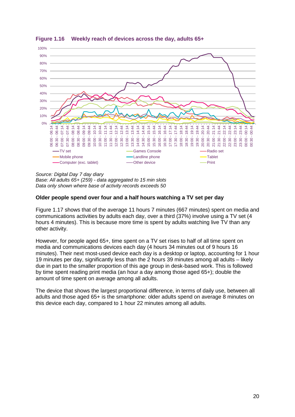

<span id="page-19-0"></span>**Figure 1.16 Weekly reach of devices across the day, adults 65+**

*Source: Digital Day 7 day diary Base: All adults 65+ (259) - data aggregated to 15 min slots Data only shown where base of activity records exceeds 50*

#### **Older people spend over four and a half hours watching a TV set per day**

[Figure 1.17](#page-20-0) shows that of the average 11 hours 7 minutes (667 minutes) spent on media and communications activities by adults each day, over a third (37%) involve using a TV set (4 hours 4 minutes). This is because more time is spent by adults watching live TV than any other activity.

However, for people aged 65+, time spent on a TV set rises to half of all time spent on media and communications devices each day (4 hours 34 minutes out of 9 hours 16 minutes). Their next most-used device each day is a desktop or laptop, accounting for 1 hour 19 minutes per day, significantly less than the 2 hours 39 minutes among all adults – likely due in part to the smaller proportion of this age group in desk-based work. This is followed by time spent reading print media (an hour a day among those aged 65+); double the amount of time spent on average among all adults.

The device that shows the largest proportional difference, in terms of daily use, between all adults and those aged 65+ is the smartphone: older adults spend on average 8 minutes on this device each day, compared to 1 hour 22 minutes among all adults.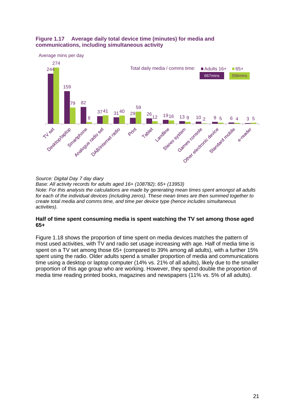#### <span id="page-20-0"></span>**Figure 1.17 Average daily total device time (minutes) for media and communications, including simultaneous activity**



*Source: Digital Day 7 day diary Base: All activity records for adults aged 16+ (108782); 65+ (13953) Note: For this analysis the calculations are made by generating mean times spent amongst all adults for each of the individual devices (including zeros). These mean times are then summed together to create total media and comms time, and time per device type (hence includes simultaneous activities).*

#### **Half of time spent consuming media is spent watching the TV set among those aged 65+**

[Figure 1.18](#page-21-0) shows the proportion of time spent on media devices matches the pattern of most used activities, with TV and radio set usage increasing with age. Half of media time is spent on a TV set among those 65+ (compared to 39% among all adults), with a further 15% spent using the radio. Older adults spend a smaller proportion of media and communications time using a desktop or laptop computer (14% vs. 21% of all adults), likely due to the smaller proportion of this age group who are working. However, they spend double the proportion of media time reading printed books, magazines and newspapers (11% vs. 5% of all adults).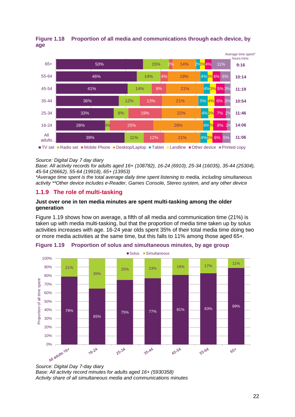

## <span id="page-21-0"></span>**Figure 1.18 Proportion of all media and communications through each device, by age**

#### *Source: Digital Day 7 day diary*

*Base: All activity records for adults aged 16+ (108782), 16-24 (6910), 25-34 (16035), 35-44 (25304), 45-54 (26662), 55-64 (19918), 65+ (13953)*

*\*Average time spent is the total average daily time spent listening to media, including simultaneous activity \*\*Other device includes e-Reader, Games Console, Stereo system, and any other device* 

#### **1.1.9 The role of multi-tasking**

#### **Just over one in ten media minutes are spent multi-tasking among the older generation**

[Figure 1.19](#page-21-1) shows how on average, a fifth of all media and communication time (21%) is taken up with media multi-tasking, but that the proportion of media time taken up by solus activities increases with age. 16-24 year olds spent 35% of their total media time doing two or more media activities at the same time, but this falls to 11% among those aged 65+.



<span id="page-21-1"></span>**Figure 1.19 Proportion of solus and simultaneous minutes, by age group**

*Base: All activity record minutes for adults aged 16+ (5930358) Activity share of all simultaneous media and communications minutes*

*Source: Digital Day 7-day diary*